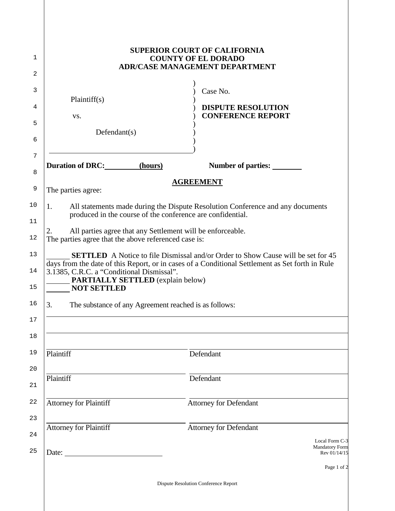|                                                                                                                          | <b>SUPERIOR COURT OF CALIFORNIA</b><br><b>COUNTY OF EL DORADO</b><br><b>ADR/CASE MANAGEMENT DEPARTMENT</b>                                                                                 |
|--------------------------------------------------------------------------------------------------------------------------|--------------------------------------------------------------------------------------------------------------------------------------------------------------------------------------------|
| Plaintiff(s)<br>VS.<br>Defendant(s)                                                                                      | Case No.<br><b>DISPUTE RESOLUTION</b><br><b>CONFERENCE REPORT</b>                                                                                                                          |
| <b>Duration of DRC:</b><br>(hours)                                                                                       | <b>Number of parties:</b>                                                                                                                                                                  |
| The parties agree:                                                                                                       | <b>AGREEMENT</b>                                                                                                                                                                           |
| 1.<br>produced in the course of the conference are confidential.                                                         | All statements made during the Dispute Resolution Conference and any documents                                                                                                             |
| All parties agree that any Settlement will be enforceable.<br>2.<br>The parties agree that the above referenced case is: |                                                                                                                                                                                            |
| 3.1385, C.R.C. a "Conditional Dismissal".<br><b>PARTIALLY SETTLED</b> (explain below)<br><b>NOT SETTLED</b>              | <b>SETTLED</b> A Notice to file Dismissal and/or Order to Show Cause will be set for 45<br>days from the date of this Report, or in cases of a Conditional Settlement as Set forth in Rule |
| The substance of any Agreement reached is as follows:<br>3.                                                              |                                                                                                                                                                                            |
|                                                                                                                          |                                                                                                                                                                                            |
| Plaintiff                                                                                                                | Defendant                                                                                                                                                                                  |
|                                                                                                                          |                                                                                                                                                                                            |
| Plaintiff                                                                                                                | Defendant                                                                                                                                                                                  |
| <b>Attorney for Plaintiff</b>                                                                                            | <b>Attorney for Defendant</b>                                                                                                                                                              |
| Attorney for Plaintiff                                                                                                   | <b>Attorney for Defendant</b>                                                                                                                                                              |
| Date:                                                                                                                    | Local Form C-3<br><b>Mandatory Form</b><br>Rev 01/14/15                                                                                                                                    |